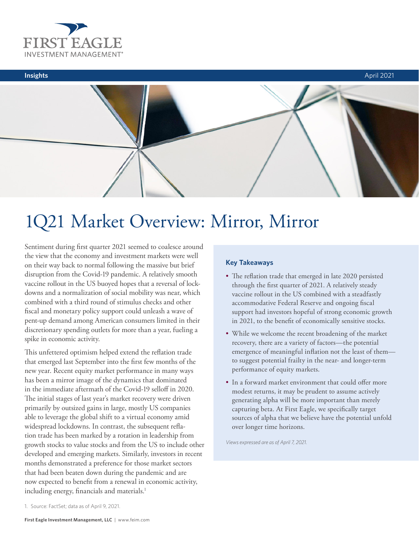



# 1Q21 Market Overview: Mirror, Mirror

Sentiment during first quarter 2021 seemed to coalesce around the view that the economy and investment markets were well on their way back to normal following the massive but brief disruption from the Covid-19 pandemic. A relatively smooth vaccine rollout in the US buoyed hopes that a reversal of lockdowns and a normalization of social mobility was near, which combined with a third round of stimulus checks and other fiscal and monetary policy support could unleash a wave of pent-up demand among American consumers limited in their discretionary spending outlets for more than a year, fueling a spike in economic activity.

This unfettered optimism helped extend the reflation trade that emerged last September into the first few months of the new year. Recent equity market performance in many ways has been a mirror image of the dynamics that dominated in the immediate aftermath of the Covid-19 selloff in 2020. The initial stages of last year's market recovery were driven primarily by outsized gains in large, mostly US companies able to leverage the global shift to a virtual economy amid widespread lockdowns. In contrast, the subsequent reflation trade has been marked by a rotation in leadership from growth stocks to value stocks and from the US to include other developed and emerging markets. Similarly, investors in recent months demonstrated a preference for those market sectors that had been beaten down during the pandemic and are now expected to benefit from a renewal in economic activity, including energy, financials and materials.<sup>1</sup>

# **Key Takeaways**

- The reflation trade that emerged in late 2020 persisted through the first quarter of 2021. A relatively steady vaccine rollout in the US combined with a steadfastly accommodative Federal Reserve and ongoing fiscal support had investors hopeful of strong economic growth in 2021, to the benefit of economically sensitive stocks.
- While we welcome the recent broadening of the market recovery, there are a variety of factors—the potential emergence of meaningful inflation not the least of them to suggest potential frailty in the near- and longer-term performance of equity markets.
- In a forward market environment that could offer more modest returns, it may be prudent to assume actively generating alpha will be more important than merely capturing beta. At First Eagle, we specifically target sources of alpha that we believe have the potential unfold over longer time horizons.

*Views expressed are as of April 7, 2021.*

<sup>1.</sup> Source: FactSet; data as of April 9, 2021.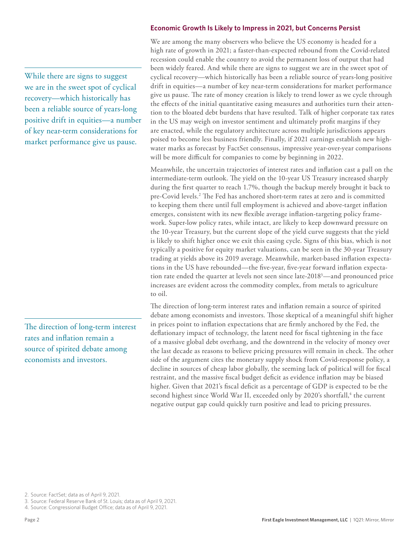## **Economic Growth Is Likely to Impress in 2021, but Concerns Persist**

We are among the many observers who believe the US economy is headed for a high rate of growth in 2021; a faster-than-expected rebound from the Covid-related recession could enable the country to avoid the permanent loss of output that had been widely feared. And while there are signs to suggest we are in the sweet spot of cyclical recovery—which historically has been a reliable source of years-long positive drift in equities—a number of key near-term considerations for market performance give us pause. The rate of money creation is likely to trend lower as we cycle through the effects of the initial quantitative easing measures and authorities turn their attention to the bloated debt burdens that have resulted. Talk of higher corporate tax rates in the US may weigh on investor sentiment and ultimately profit margins if they are enacted, while the regulatory architecture across multiple jurisdictions appears poised to become less business friendly. Finally, if 2021 earnings establish new highwater marks as forecast by FactSet consensus, impressive year-over-year comparisons will be more difficult for companies to come by beginning in 2022.

Meanwhile, the uncertain trajectories of interest rates and inflation cast a pall on the intermediate-term outlook. The yield on the 10-year US Treasury increased sharply during the first quarter to reach 1.7%, though the backup merely brought it back to pre-Covid levels.<sup>2</sup> The Fed has anchored short-term rates at zero and is committed to keeping them there until full employment is achieved and above-target inflation emerges, consistent with its new flexible average inflation-targeting policy framework. Super-low policy rates, while intact, are likely to keep downward pressure on the 10-year Treasury, but the current slope of the yield curve suggests that the yield is likely to shift higher once we exit this easing cycle. Signs of this bias, which is not typically a positive for equity market valuations, can be seen in the 30-year Treasury trading at yields above its 2019 average. Meanwhile, market-based inflation expectations in the US have rebounded—the five-year, five-year forward inflation expectation rate ended the quarter at levels not seen since late-20183—and pronounced price increases are evident across the commodity complex, from metals to agriculture to oil.

The direction of long-term interest rates and inflation remain a source of spirited debate among economists and investors. Those skeptical of a meaningful shift higher in prices point to inflation expectations that are firmly anchored by the Fed, the deflationary impact of technology, the latent need for fiscal tightening in the face of a massive global debt overhang, and the downtrend in the velocity of money over the last decade as reasons to believe pricing pressures will remain in check. The other side of the argument cites the monetary supply shock from Covid-response policy, a decline in sources of cheap labor globally, the seeming lack of political will for fiscal restraint, and the massive fiscal budget deficit as evidence inflation may be biased higher. Given that 2021's fiscal deficit as a percentage of GDP is expected to be the second highest since World War II, exceeded only by 2020's shortfall,<sup>4</sup> the current negative output gap could quickly turn positive and lead to pricing pressures.

While there are signs to suggest we are in the sweet spot of cyclical recovery—which historically has been a reliable source of years-long positive drift in equities—a number of key near-term considerations for market performance give us pause.

The direction of long-term interest rates and inflation remain a source of spirited debate among economists and investors.

<sup>2.</sup> Source: FactSet; data as of April 9, 2021.

<sup>3.</sup> Source: Federal Reserve Bank of St. Louis; data as of April 9, 2021.

<sup>4.</sup> Source: Congressional Budget Office; data as of April 9, 2021.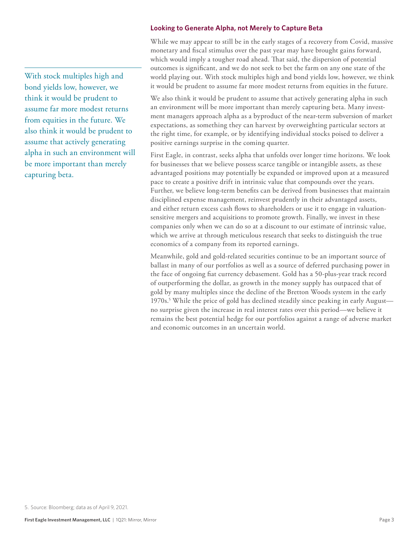### **Looking to Generate Alpha, not Merely to Capture Beta**

While we may appear to still be in the early stages of a recovery from Covid, massive monetary and fiscal stimulus over the past year may have brought gains forward, which would imply a tougher road ahead. That said, the dispersion of potential outcomes is significant, and we do not seek to bet the farm on any one state of the world playing out. With stock multiples high and bond yields low, however, we think it would be prudent to assume far more modest returns from equities in the future.

We also think it would be prudent to assume that actively generating alpha in such an environment will be more important than merely capturing beta. Many investment managers approach alpha as a byproduct of the near-term subversion of market expectations, as something they can harvest by overweighting particular sectors at the right time, for example, or by identifying individual stocks poised to deliver a positive earnings surprise in the coming quarter.

First Eagle, in contrast, seeks alpha that unfolds over longer time horizons. We look for businesses that we believe possess scarce tangible or intangible assets, as these advantaged positions may potentially be expanded or improved upon at a measured pace to create a positive drift in intrinsic value that compounds over the years. Further, we believe long-term benefits can be derived from businesses that maintain disciplined expense management, reinvest prudently in their advantaged assets, and either return excess cash flows to shareholders or use it to engage in valuationsensitive mergers and acquisitions to promote growth. Finally, we invest in these companies only when we can do so at a discount to our estimate of intrinsic value, which we arrive at through meticulous research that seeks to distinguish the true economics of a company from its reported earnings.

Meanwhile, gold and gold-related securities continue to be an important source of ballast in many of our portfolios as well as a source of deferred purchasing power in the face of ongoing fiat currency debasement. Gold has a 50-plus-year track record of outperforming the dollar, as growth in the money supply has outpaced that of gold by many multiples since the decline of the Bretton Woods system in the early 1970s.<sup>5</sup> While the price of gold has declined steadily since peaking in early Augustno surprise given the increase in real interest rates over this period—we believe it remains the best potential hedge for our portfolios against a range of adverse market and economic outcomes in an uncertain world.

With stock multiples high and bond yields low, however, we think it would be prudent to assume far more modest returns from equities in the future. We also think it would be prudent to assume that actively generating alpha in such an environment will be more important than merely capturing beta.